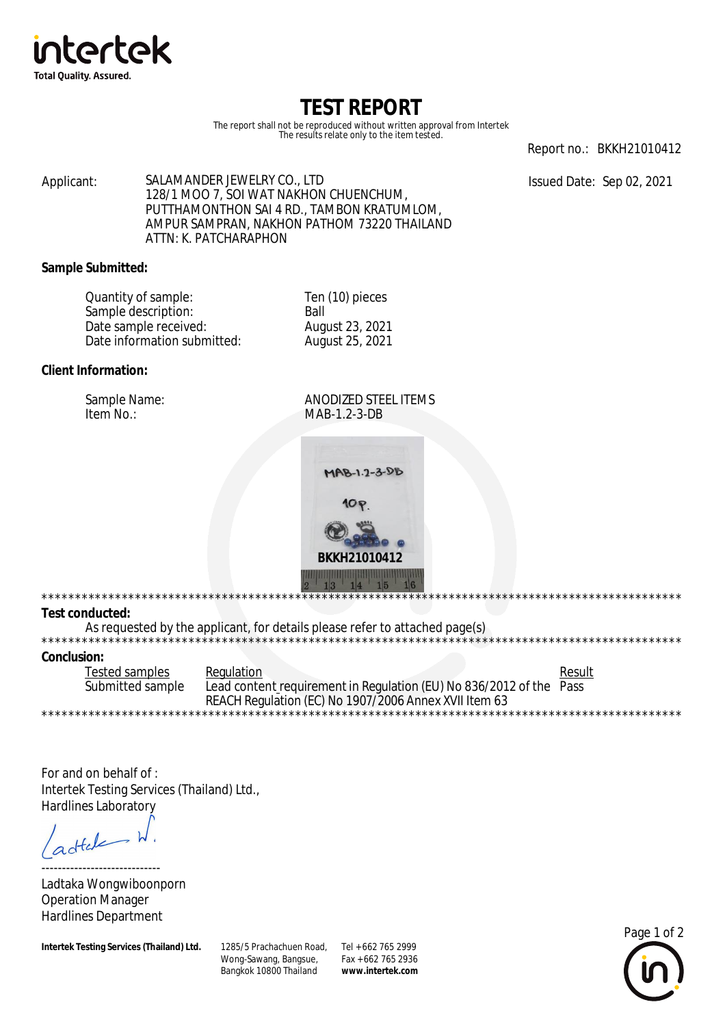

# TEST REPORT

The report shall not be reproduced without written approval from Intertek The results relate only to the item tested.

Report no.: BKKH21010412

Issued Date: Sep 02, 2021

SALAMANDER JEWELRY CO., LTD Applicant: 128/1 MOO 7, SOI WAT NAKHON CHUENCHUM. PUTTHAMONTHON SAI 4 RD., TAMBON KRATUMLOM, AMPUR SAMPRAN, NAKHON PATHOM 73220 THAILAND ATTN: K. PATCHARAPHON

## **Sample Submitted:**

| Quantity of sample:         | Ten (10) pieces |  |
|-----------------------------|-----------------|--|
| Sample description:         | <b>Ball</b>     |  |
| Date sample received:       | August 23, 2021 |  |
| Date information submitted: | August 25, 2021 |  |

## Client Information:

Sample Name: Item No.:

**ANODIZED STEEL ITEMS** MAB-1.2-3-DB



## **Test conducted:**

\*\*\*\*\*\*\*\*\*\*\*\*\*\*\*\*\*\*\*

As requested by the applicant, for details please refer to attached page(s)

#### **Conclusion:**

**Tested samples** Regulation Result Submitted sample Lead content requirement in Regulation (EU) No 836/2012 of the Pass REACH Regulation (EC) No 1907/2006 Annex XVII Item 63 \*\*\*\*\*\*\*\*\*\*\*\*\*\*\*\*\*

For and on behalf of: Intertek Testing Services (Thailand) Ltd., **Hardlines Laboratory** 

 $dt$ 

Ladtaka Wongwiboonporn **Operation Manager Hardlines Department** 

**Intertek Testing Services (Thailand) Ltd.** 

1285/5 Prachachuen Road, Tel + 662 765 2999 Wong-Sawang, Bangsue, Bangkok 10800 Thailand

Fax + 662 765 2936 www.intertek.com